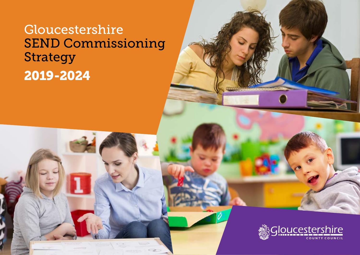# Gloucestershire SEND Commissioning **Strategy** 2019-2024

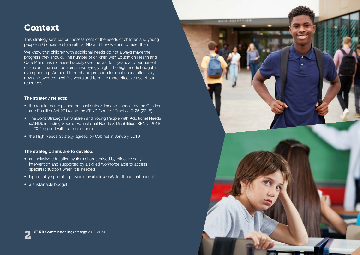### Context

This strategy sets out our assessment of the needs of children and young people in Gloucestershire with SEND and how we aim to meet them.

We know that children with additional needs do not always make the progress they should. The number of children with Education Health and Care Plans has increased rapidly over the last four years and permanent exclusions from school remain worryingly high. The high needs budget is overspending. We need to re-shape provision to meet needs effectively now and over the next five years and to make more effective use of our resources.

#### **The strategy reflects:**

- the requirements placed on local authorities and schools by the Children and Families Act 2014 and the SEND Code of Practice 0-25 (2015)
- The Joint Strategy for Children and Young People with Additional Needs (JAND), including Special Educational Needs & Disabilities (SEND) 2018 – 2021 agreed with partner agencies
- the High Needs Strategy agreed by Cabinet in January 2019

#### **The strategic aims are to develop:**

- an inclusive education system characterised by effective early intervention and supported by a skilled workforce able to access specialist support when it is needed
- high quality specialist provision available *locally* for those that need it
- a sustainable budget

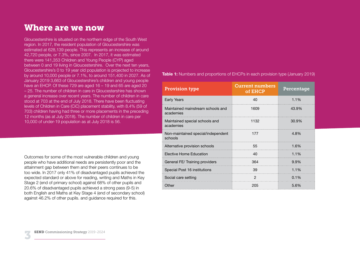### Where are we now

Gloucestershire is situated on the northern edge of the South West region. In 2017, the resident population of Gloucestershire was estimated at 628,139 people. This represents an increase of around 42,720 people, or 7.3%, since 2007. In 2017, it was estimated there were 141,353 Children and Young People (CYP) aged between 0 and 19 living in Gloucestershire. Over the next ten years, Gloucestershire's 0 to 19 year old population is projected to increase by around 10,000 people or 7.1%, to around 151,400 in 2027. As of January 2019 3,663 of Gloucestershire's children and young people have an EHCP. Of these 729 are aged 16 – 19 and 65 are aged 20 – 25. The number of children in care in Gloucestershire has shown a general increase over recent years. The number of children in care stood at 703 at the end of July 2018. There have been fluctuating levels of Children in Care (CiC) placement stability, with 8.4% (59 of 703) children having had three or more placements in the preceding 12 months (as at July 2018). The number of children in care per 10,000 of under-19 population as at July 2018 is 56.

Outcomes for some of the most vulnerable children and young people who have additional needs are persistently poor and the attainment gap between them and their peers continues to be too wide. In 2017 only 41% of disadvantaged pupils achieved the expected standard or above for reading, writing and Maths in Key Stage 2 (end of primary school) against 68% of other pupils and 20.6% of disadvantaged pupils achieved a strong pass (9-5) in both English and Maths at Key Stage 4 (end of secondary school) against 46.2% of other pupils. and guidance required for this.

| <b>Provision type</b>                          | <b>Current numbers</b><br>of EHCP | Percentage |
|------------------------------------------------|-----------------------------------|------------|
| Early Years                                    | 40                                | $1.1\%$    |
| Maintained mainstream schools and<br>academies | 1609                              | 43.9%      |
| Maintained special schools and<br>academies    | 1132                              | 30.9%      |
| Non-maintained special/independent<br>schools  | 177                               | 4.8%       |
| Alternative provision schools                  | 55                                | 1.6%       |
| Elective Home Education                        | 40                                | 1.1%       |
| General FE/ Training providers                 | 364                               | 9.9%       |
| Special Post 16 institutions                   | 39                                | $1.1\%$    |
| Social care setting                            | 2                                 | 0.1%       |
| Other                                          | 205                               | 5.6%       |

**Table 1:** Numbers and proportions of EHCPs in each provision type (January 2019)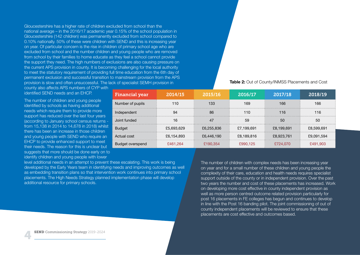Gloucestershire has a higher rate of children excluded from school than the national average – in the 2016/17 academic year 0.15% of the school population in Gloucestershire (142 children) was permanently excluded from school compared to 0.10% nationally. 50% of these were children with SEND and this is increasing year on year. Of particular concern is the rise in children of primary school age who are excluded from school and the number children and young people who are removed from school by their families to home educate as they feel a school cannot provide the support they need. The high numbers of exclusions are also causing pressure on the current APS provision in county. It is becoming challenging for the local authority to meet the statutory requirement of providing full time education from the 6th day of permanent exclusion and successful transition to mainstream provision from the APS provision is slow and often unsuccessful. The lack of specialist SEMH provision in

county also affects APS numbers of CYP with identified SEND needs and an EHCP.

The number of children and young people identified by schools as having additional needs which require them to provide more support has reduced over the last four years (according to January school census returns from 15,138 in 2014 to 14,678 in 2018) whilst there has been an increase in those children and young people with SEND who require an EHCP to provide enhanced support to meet their needs. The reason for this is unclear but suggests that more should be done early on to identify children and young people with lower

| Financial year   | 2014/15    | 2015/16    | 2016/17    | 2017/18    | 2018/19    |
|------------------|------------|------------|------------|------------|------------|
| Number of pupils | 110        | 133        | 169        | 166        | 166        |
| Independent      | 94         | 86         | 110        | 116        | 116        |
| Joint funded     | 16         | 47         | 59         | 50         | 50         |
| <b>Budget</b>    | £5,693,629 | £6,255,836 | £7,199,691 | £8,199,691 | £8,599,691 |
| Actual cost      | £6,154,893 | £6,446,190 | £8,189,816 | £8,923,761 | £9,091,594 |
| Budget overspend | £461,264   | £190,354   | £990,125   | £724,070   | £491,903   |

**Table 2:** Out of County/INMSS Placements and Cost

level additional needs in an attempt to prevent these escalating. This work is being developed by the Early Years team in identifying needs and improving outcomes as well as embedding transition plans so that intervention work continues into primary school placements. The High Needs Strategy planned implementation phase will develop additional resource for primary schools.

The number of children with complex needs has been increasing year on year and for a small number of these children and young people the complexity of their care, education and health needs requires specialist support outside of the county or in independent provision. Over the past two years the number and cost of these placements has increased. Work on developing more cost effective in county independent provision as well as more person centred outcome related provision particularly for post 16 placements in FE colleges has begun and continues to develop in line with the Post 16 banding pilot. The joint commissioning of out of county independent placements will be reviewed to ensure that these placements are cost effective and outcomes based.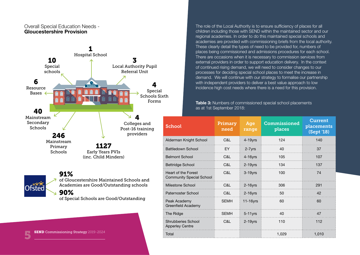#### Overall Special Education Needs - **Gloucestershire Provision**





#### 91% of Gloucestershire Maintained Schools and Academies are Good/Outstanding schools

90% of Special Schools are Good/Outstanding

**SEND Commissioning Strategy 2019-2024** 

The role of the Local Authority is to ensure sufficiency of places for all children including those with SEND within the maintained sector and our regional academies. In order to do this maintained special schools and academies are provided with commissioning briefs from the local authority. These clearly detail the types of need to be provided for, numbers of places being commissioned and admissions procedures for each school. There are occasions when it is necessary to commission services from external providers in order to support education delivery. In the context of continued rising demand, we will need to consider changes to our processes for deciding special school places to meet the increase in demand. We will continue with our strategy to formalise our partnership with independent providers to deliver a best value approach to low incidence high cost needs where there is a need for this provision.

**Table 3:** Numbers of commissioned special school placements as at 1st September 2018:

| <b>School</b>                                          | Primary<br>need | Age<br>range | Commissioned<br>places | <b>Current</b><br>placements<br>(Sept '18) |
|--------------------------------------------------------|-----------------|--------------|------------------------|--------------------------------------------|
| Alderman Knight School                                 | C&L             | $4 - 19$ yrs | 124                    | 140                                        |
| Battledown School                                      | <b>FY</b>       | $2 - 7$ yrs  | 40                     | 37                                         |
| <b>Belmont School</b>                                  | C&L             | $4 - 16$ yrs | 105                    | 107                                        |
| <b>Bettridge School</b>                                | C&L             | $2-19$ yrs   | 134                    | 137                                        |
| Heart of the Forest<br><b>Community Special School</b> | C&L.            | $3-19$ vrs   | 100                    | 74                                         |
| Milestone School                                       | C&L             | $2 - 16$ yrs | 306                    | 291                                        |
| Paternoster School                                     | C&L.            | $2 - 16$ yrs | 50                     | 42                                         |
| Peak Academy<br>Greenfield Academy                     | <b>SEMH</b>     | $11-16$ yrs  | 60                     | 60                                         |
| The Ridge                                              | <b>SEMH</b>     | $5-11$ yrs   | 40                     | 47                                         |
| <b>Shrubberies School</b><br><b>Apperley Centre</b>    | C&L.            | $2 - 19$ yrs | 110                    | 112                                        |
| Total                                                  |                 |              | 1.029                  | 1.010                                      |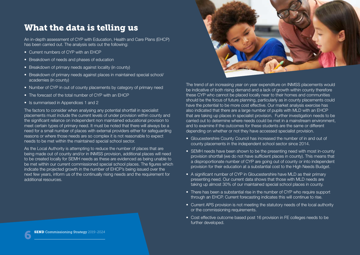### What the data is telling us

An in-depth assessment of CYP with Education, Health and Care Plans (EHCP) has been carried out. The analysis sets out the following:

- Current numbers of CYP with an EHCP
- Breakdown of needs and phases of education
- Breakdown of primary needs against locality (in county)
- Breakdown of primary needs against places in maintained special school/ academies (in county)
- Number of CYP in out of county placements by category of primary need
- The forecast of the total number of CYP with an EHCP
- Is summarised in Appendices 1 and 2

The factors to consider when analysing any potential shortfall in specialist placements must include the current levels of under provision within county and the significant reliance on independent non maintained educational provision to meet certain types of primary need. It must be noted that there will always be a need for a small number of places with external providers either for safeguarding reasons or where those needs are so complex it is not reasonable to expect needs to be met within the maintained special school sector.

As the Local Authority is attempting to reduce the number of places that are being made out of county and/or in INMSS provision, additional places will need to be created locally for SEMH needs as these are evidenced as being unable to be met within our current commissioned special school places. The figures which indicate the projected growth in the number of EHCP's being issued over the next few years, inform us of the continually rising needs and the requirement for additional resources.



The trend of an increasing year on year expenditure on INMSS placements would be indicative of both rising demand and a lack of growth within county therefore these CYP who cannot be placed locally near to their homes and communities should be the focus of future planning, particularly as in county placements could have the potential to be more cost effective. Our market analysis exercise has also indicated that there are a large number of pupils with MLD with an EHCP that are taking up places in specialist provision. Further investigation needs to be carried out to determine where needs could be met in a mainstream environment, and to examine if the outcomes for these students are the same or different depending on whether or not they have accessed specialist provision.

- Gloucestershire County Council has increased the number of in and out of county placements in the independent school sector since 2014.
- SEMH needs have been shown to be the presenting need with most in-county provision shortfall (we do not have sufficient places in county). This means that a disproportionate number of CYP are going out of county or into independent provision for their education at a substantial cost to the High Needs Budget.
- A significant number of CYP in Gloucestershire have MLD as their primary presenting need. Our current data shows that those with MLD needs are taking up almost 30% of our maintained special school places in county.
- There has been a substantial rise in the number of CYP who require support through an EHCP. Current forecasting indicates this will continue to rise.
- Current APS provision is not meeting the statutory needs of the local authority or the commissioning requirements.
- Cost effective outcome based post 16 provision in FE colleges needs to be further developed.

6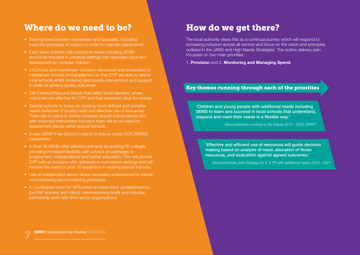### Where do we need to be?

- Blurring lines between mainstream and specialist, including bespoke packages of support in order to maintain placements.
- Early Years children with additional needs including SEND should be included in universal settings with specialist input and assessment for complex children.
- LInC/hubs and mainstream inclusion developed and embedded in maintained schools and academies so that CYP are able to attend local schools whilst receiving appropriate interventions and support in order to achieve quality outcomes.
- C&I Centres/Resource Bases that reflect local demand, where outcomes are effective for CYP and that represent value for money.
- Special schools to focus on meeting more defined and complex needs (reflective of locality need and effective use of resources). There are no plans to further increase special school places and with improved mainstream inclusion there will be no need for assessment places within special schools.
- A new SEMH Free School in place to reduce costly OOC/INMSS placements.
- A Post 16 SEND offer delivered primarily by existing FE colleges providing increased flexibility with a focus on pathways to employment, independence and further education. This will provide CYP with an inclusive offer delivered in mainstream settings and will remove the need for post 16 expansion in existing special schools.
- Use of independent sector where necessary underpinned by robust commissioning and monitoring processes.
- A countywide vision for APS which is needs lead, underpinned by the FAP process and robust commissioning briefs and includes partnership work with third sector organisations.

### How do we get there?

The local authority views this as a continual journey which will respond to increasing inclusion across all sectors and focus on the vision and principles outlined in the JAND and High Needs Strategies. The outline delivery plan focusses on two main priorities:

1. **Provision** and 2. **Monitoring and Managing Spend**.

#### Key themes running through each of the priorities

'Children and young people with additional needs including SEND to learn and succeed in local schools that understand, respond and meet their needs in a flexible way.'

*Gloucestershire Looking to the Future 2019 – 2022 DRAFT*

'Effective and efficient use of resources will guide decision making based on analysis of need, allocation of those resources, and evaluation against agreed outcomes.'

*Gloucestershire Joint Strategy for C & YP with additional needs 2018 - 2021*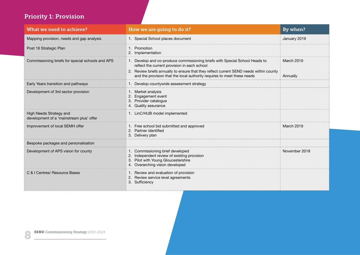### Priority 1: Provision

| What we need to achieve?                                            | How we are going to do it?                                                                                                                                                                                                                                                                       | By when?               |
|---------------------------------------------------------------------|--------------------------------------------------------------------------------------------------------------------------------------------------------------------------------------------------------------------------------------------------------------------------------------------------|------------------------|
| Mapping provision, needs and gap analysis                           | 1. Special School places document                                                                                                                                                                                                                                                                | January 2019           |
| Post 16 Strategic Plan                                              | 1. Promotion<br>2. Implementation                                                                                                                                                                                                                                                                |                        |
| Commissioning briefs for special schools and APS                    | 1. Develop and co-produce commissioning briefs with Special School Heads to<br>reflect the current provision in each school<br>2. Review briefs annually to ensure that they reflect current SEND needs within county<br>and the provision that the local authority requires to meet these needs | March 2019<br>Annually |
| Early Years transition and pathways                                 | 1. Develop countywide assessment strategy                                                                                                                                                                                                                                                        |                        |
| Development of 3rd sector provision                                 | 1. Market analysis<br>2. Engagement event<br>3. Provider catalogue<br>4. Quality assurance                                                                                                                                                                                                       |                        |
| High Needs Strategy and<br>development of a 'mainstream plus' offer | 1. LinC/HUB model implemented                                                                                                                                                                                                                                                                    |                        |
| Improvement of local SEMH offer                                     | 1. Free school bid submitted and approved<br>2. Partner identified<br>3. Delivery plan                                                                                                                                                                                                           | March 2019             |
| Bespoke packages and personalisation                                |                                                                                                                                                                                                                                                                                                  |                        |
| Development of APS vision for county                                | 1. Commissioning brief developed<br>2. Independent review of existing provision<br>3. Pilot with Young Gloucestershire<br>4. Overarching vision developed                                                                                                                                        | November 2018          |
| C & I Centres/ Resource Bases                                       | 1. Review and evaluation of provision<br>2. Review service level agreements<br>3. Sufficiency                                                                                                                                                                                                    |                        |

8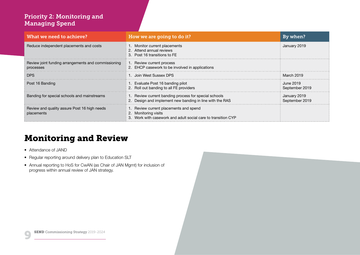#### Priority 2: Monitoring and Managing Spend

| What we need to achieve?                                         | How we are going to do it?                                                                                                      | By when?                       |
|------------------------------------------------------------------|---------------------------------------------------------------------------------------------------------------------------------|--------------------------------|
| Reduce independent placements and costs                          | 1. Monitor current placements<br>2. Attend annual reviews<br>3. Post 16 transitions to FE                                       | January 2019                   |
| Review joint funding arrangements and commissioning<br>processes | 1. Review current process<br>2. EHCP casework to be involved in applications                                                    |                                |
| <b>DPS</b>                                                       | 1. Join West Sussex DPS                                                                                                         | March 2019                     |
| Post 16 Banding                                                  | 1. Evaluate Post 16 banding pilot<br>2. Roll out banding to all FE providers                                                    | June 2019<br>September 2019    |
| Banding for special schools and mainstreams                      | 1. Review current banding process for special schools<br>2. Design and implement new banding in line with the RAS               | January 2019<br>September 2019 |
| Review and quality assure Post 16 high needs<br>placements       | 1. Review current placements and spend<br>2. Monitoring visits<br>3. Work with casework and adult social care to transition CYP |                                |

# Monitoring and Review

• Attendance of JAND

9

- Regular reporting around delivery plan to Education SLT
- Annual reporting to HoS for CwAN (as Chair of JAN Mgmt) for inclusion of progress within annual review of JAN strategy.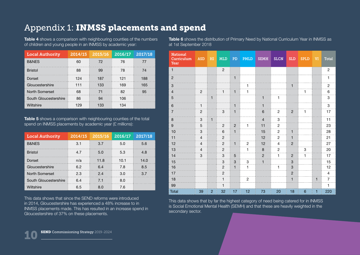# Appendix 1: **INMSS placements and spend**

**Table 4** shows a comparison with neighbouring counties of the numbers of children and young people in an INMSS by academic year:

| <b>Local Authority</b> |     | 2014/15 2015/16 2016/17 2017/18 |     |     |
|------------------------|-----|---------------------------------|-----|-----|
| <b>B&amp;NES</b>       | 60  | 72                              | 76  |     |
| <b>Bristol</b>         | 88  |                                 | 78  | 74  |
| Dorset                 | 124 | 187                             | 121 | 188 |
| Gloucestershire        |     | 133                             | 169 | 165 |
| North Somerset         | 68  |                                 | 82  | 95  |
| South Gloucestershire  | 86  |                                 | 106 |     |
| Wiltshire              |     | 33                              |     |     |

**Table 5** shows a comparison with neighbouring counties of the total spend on INMSS placements by academic year (£ millions):

| <b>Local Authority</b> |     | 2014/15 2015/16 | 2016/17 2017/18 |      |
|------------------------|-----|-----------------|-----------------|------|
| <b>B&amp;NES</b>       | 3.1 | 3.7             | 5.0             | 5.6  |
| <b>Bristol</b>         |     | 5.0             | 53              | ıя   |
| Dorset                 | n/a | 11.8            | 10 1            | 14 N |
| Gloucestershire        | 62  | 64              | 7 R             | 85   |
| <b>North Somerset</b>  | 23  | 24              | 3 O             |      |
| South Gloucestershire  | 64  | 71              | 8 O             |      |
| Wiltshire              | հ 5 |                 | 7 6             |      |

This data shows that since the SEND reforms were introduced in 2014, Gloucestershire has experienced a 48% increase to in INMSS placements made. This has resulted in an increase spend in Gloucestershire of 37% on these placements.

**Table 6** shows the distribution of Primary Need by National Curriculum Year in INMSS as at 1st September 2018

| <b>National</b><br>Curriculum<br>Year | <b>ASD</b>     | $\mathbf{H}\mathbf{I}$ | <b>MLD</b>                | ${\bf PD}$     | <b>PMLD</b>    | <b>SEMH</b>    | <b>SLCN</b>    | <b>SLD</b>     | <b>SPLD</b> | <b>VI</b> | Total          |
|---------------------------------------|----------------|------------------------|---------------------------|----------------|----------------|----------------|----------------|----------------|-------------|-----------|----------------|
| $\mathbf{1}$                          |                |                        | $\overline{2}$            |                |                |                |                |                |             |           | $\overline{2}$ |
| 2                                     |                |                        |                           | 1              |                |                |                |                |             |           | $\mathbf{1}$   |
| 3                                     |                |                        |                           |                | ٦              |                |                | 1              |             |           | $\mathbf{2}$   |
| 4                                     | $\overline{2}$ |                        | 1                         | 1              |                |                |                |                | 1           |           | 6              |
| 5                                     |                | 1                      |                           |                |                |                | 1              |                |             |           | 3              |
| 6                                     | 1              |                        |                           | 1              |                |                |                |                |             |           | 3              |
| $\overline{7}$                        | $\overline{c}$ |                        | 3                         | 1              |                | 6              | $\overline{2}$ | 2              | 1           |           | 17             |
| 8                                     | 3              | 1                      |                           |                |                | $\overline{4}$ | 3              |                |             |           | 11             |
| 9                                     | 5              |                        | $\overline{2}$            | $\overline{2}$ | 1              | 11             | $\overline{2}$ |                |             |           | 23             |
| 10                                    | 3              |                        | 6                         | 1              |                | 15             | $\overline{2}$ | 1              |             |           | 28             |
| 11                                    | 4              |                        | 2                         |                |                | 12             | $\overline{2}$ | 1              |             |           | 21             |
| 12                                    | 4              |                        | $\overline{c}$            | 1              | $\overline{2}$ | 12             | 4              | $\overline{2}$ |             |           | 27             |
| 13                                    | 4              |                        | $\overline{c}$            |                | 1              | 8              | $\overline{c}$ |                | 3           |           | 20             |
| 14                                    | 3              |                        | $\ensuremath{\mathsf{3}}$ | 5              |                | $\mathcal{P}$  | 1              | 2              | 1           |           | 17             |
| 15                                    |                |                        | $\ensuremath{\mathsf{3}}$ | 3              | 3              | 1              |                | $\sqrt{3}$     |             |           | 15             |
| 16                                    |                |                        | $\overline{2}$            | 1              | 1              |                | 1              | $\sqrt{3}$     |             |           | 12             |
| 17                                    |                |                        | 2                         |                |                |                |                | $\overline{2}$ |             |           | 4              |
| 18                                    |                |                        | 1                         |                | $\overline{2}$ |                |                | 1              |             | 1         | $\overline{7}$ |
| 99                                    |                |                        | 1                         |                |                |                |                |                |             |           | 1              |
| Total                                 | 39             | $\overline{2}$         | 32                        | 17             | 12             | 73             | 20             | 18             | 6           | 1         | 220            |

This data shows that by far the highest category of need being catered for in INMSS is Social Emotional Mental Health (SEMH) and that these are heavily weighted in the secondary sector.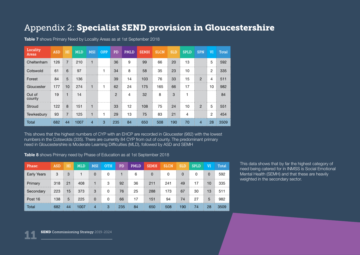# Appendix 2: Specialist SEND provision in Gloucestershire

**Table 7** shows Primary Need by Locality Areas as at 1st September 2018

| Locality<br>Areas | <b>ASD</b> | HI             | <b>MLD</b> | <b>MSI</b>     | <b>OPP</b> | <b>PD</b>     | <b>PMLD</b> | <b>SEMH</b> | <b>SLCN</b> | <b>SLD</b> | <b>SPLD</b> | <b>SPN</b>     | VI             | <b>Total</b> |
|-------------------|------------|----------------|------------|----------------|------------|---------------|-------------|-------------|-------------|------------|-------------|----------------|----------------|--------------|
| Cheltenham        | 126        | $\overline{7}$ | 210        | $\mathbf{1}$   |            | 36            | 9           | 99          | 66          | 20         | 13          |                | 5              | 592          |
| Cotswold          | 61         | 6              | 97         |                |            | 34            | 8           | 58          | 35          | 23         | 10          |                | 2              | 335          |
| Forest            | 84         | 5              | 136        |                |            | 39            | 14          | 103         | 76          | 33         | 15          | $\overline{2}$ | 4              | 511          |
| Gloucester        | 177        | 10             | 274        | 1              |            | 62            | 24          | 175         | 165         | 66         | 17          |                | 10             | 982          |
| Out of<br>county  | 19         |                | 14         |                |            | $\mathcal{P}$ | 4           | 32          | 8           | 3          |             |                |                | 84           |
| Stroud            | 122        | 8              | 151        | 1              |            | 33            | 12          | 108         | 75          | 24         | 10          | $\mathcal{P}$  | 5              | 551          |
| Tewkesbury        | 93         | 7              | 125        | 1              |            | 29            | 13          | 75          | 83          | 21         | 4           |                | $\overline{2}$ | 454          |
| Total             | 682        | 44             | 1007       | $\overline{4}$ | 3          | 235           | 84          | 650         | 508         | 190        | 70          | $\overline{4}$ | 28             | 3509         |

This shows that the highest numbers of CYP with an EHCP are recorded in Gloucester (982) with the lowest numbers in the Cotswolds (335). There are currently 84 CYP from out of county. The predominant primary need in Gloucestershire is Moderate Learning Difficulties (MLD), followed by ASD and SEMH

**Table 8** shows Primary need by Phase of Education as at 1st September 2018

| Phase:             | <b>ASD</b> | HI | <b>MLD</b> | <b>MSI</b>     | <b>OTH</b> | <b>PD</b> | <b>PMLD</b> | <b>SEMH</b> | <b>SLCN</b> | <b>SLD</b> | <b>SPLD</b> | VI | <b>Total</b> |
|--------------------|------------|----|------------|----------------|------------|-----------|-------------|-------------|-------------|------------|-------------|----|--------------|
| <b>Early Years</b> | 3          | 3  |            | $\Omega$       | 0          |           | 6           | $\Omega$    | 0           | 0          | 0           | 0  | 592          |
| Primary            | 318        | 21 | 408        |                | З          | 92        | 36          | 211         | 241         | 49         | 17          | 10 | 335          |
| Secondary          | 223        | 15 | 373        | 3              | 0          | 76        | 25          | 288         | 173         | 67         | 30          | 13 | 511          |
| Post 16            | 138        | 5  | 225        | $\Omega$       | 0          | 66        | 17          | 151         | 94          | 74         | 27          | 5  | 982          |
| Total              | 682        | 44 | 1007       | $\overline{4}$ | 3          | 235       | 84          | 650         | 508         | 190        | 74          | 28 | 3509         |

This data shows that by far the highest category of need being catered for in INMSS is Social Emotional Mental Health (SEMH) and that these are heavily weighted in the secondary sector.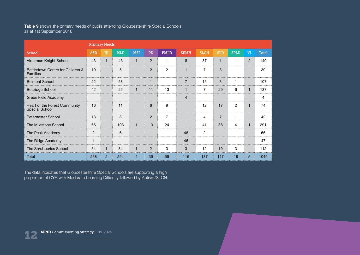#### **Table 9** shows the primary needs of pupils attending Gloucestershire Special Schools as at 1st September 2018.

|                                                     | <b>Primary Needs</b> |                |            |                |              |                |                          |                |                |                |                |              |
|-----------------------------------------------------|----------------------|----------------|------------|----------------|--------------|----------------|--------------------------|----------------|----------------|----------------|----------------|--------------|
| School:                                             | <b>ASD</b>           | HI             | <b>MLD</b> | <b>MSI</b>     | PD           | <b>PMLD</b>    | <b>SEMH</b>              | <b>SLCN</b>    | <b>SLD</b>     | <b>SPLD</b>    | <b>VI</b>      | <b>Total</b> |
| Alderman Knight School                              | 43                   | 1              | 43         | $\mathbf{1}$   | 2            |                | 8                        | 37             | $\mathbf{1}$   | 1              | 2              | 140          |
| Battledown Centre for Children &<br><b>Families</b> | 19                   |                | 5          |                | $\mathbf{2}$ | $\overline{c}$ | $\overline{\phantom{a}}$ | $\overline{7}$ | 3              |                |                | 39           |
| <b>Belmont School</b>                               | 22                   |                | 58         |                | $\mathbf{1}$ |                | $\overline{7}$           | 15             | 3              | 1              |                | 107          |
| <b>Bettridge School</b>                             | 42                   |                | 26         | $\mathbf{1}$   | 11           | 13             | 1                        | $\overline{7}$ | 29             | 6              | $\mathbf{1}$   | 137          |
| Green Field Academy                                 |                      |                |            |                |              |                | $\overline{4}$           |                |                |                |                | 4            |
| Heart of the Forest Community<br>Special School     | 16                   |                | 11         |                | 6            | 9              |                          | 12             | 17             | $\overline{2}$ | $\mathbf{1}$   | 74           |
| <b>Paternoster School</b>                           | 13                   |                | 8          |                | 2            | $\overline{7}$ |                          | 4              | $\overline{7}$ | 1              |                | 42           |
| The Milestone School                                | 66                   |                | 103        | $\mathbf{1}$   | 13           | 24             |                          | 41             | 38             | 4              | $\mathbf{1}$   | 291          |
| The Peak Academy                                    | $\overline{2}$       |                | 6          |                |              |                | 46                       | $\mathbf{2}$   |                |                |                | 56           |
| The Ridge Academy                                   |                      |                |            |                |              |                | 46                       |                |                |                |                | 47           |
| The Shrubberies School                              | 34                   |                | 34         | 1              | 2            | 3              | 3                        | 12             | 19             | 3              |                | 112          |
| <b>Total</b>                                        | 258                  | $\overline{2}$ | 294        | $\overline{4}$ | 39           | 59             | 116                      | 137            | 117            | 18             | $5\phantom{1}$ | 1049         |

The data indicates that Gloucestershire Special Schools are supporting a high proportion of CYP with Moderate Learning Difficulty followed by Autism/SLCN.